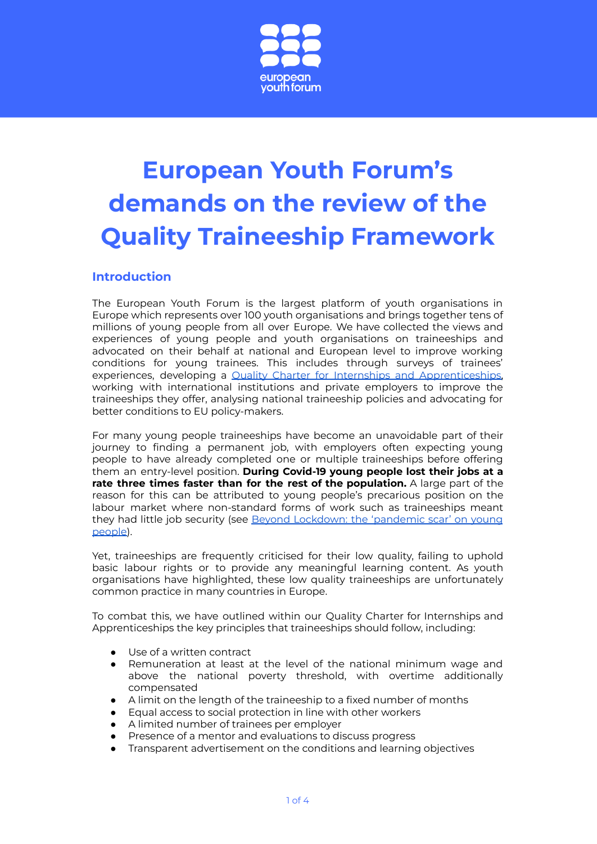

# **European Youth Forum's demands on the review of the Quality Traineeship Framework**

## **Introduction**

The European Youth Forum is the largest platform of youth organisations in Europe which represents over 100 youth organisations and brings together tens of millions of young people from all over Europe. We have collected the views and experiences of young people and youth organisations on traineeships and advocated on their behalf at national and European level to improve working conditions for young trainees. This includes through surveys of trainees' experiences, developing a Quality Charter for Internships and [Apprenticeships,](https://www.youthforum.org/news/european-quality-charter-on-internships-and-apprenticeships) working with international institutions and private employers to improve the traineeships they offer, analysing national traineeship policies and advocating for better conditions to EU policy-makers.

For many young people traineeships have become an unavoidable part of their journey to finding a permanent job, with employers often expecting young people to have already completed one or multiple traineeships before offering them an entry-level position. **During Covid-19 young people lost their jobs at a rate three times faster than for the rest of the population.** A large part of the reason for this can be attributed to young people's precarious position on the labour market where non-standard forms of work such as traineeships meant they had little job security (see Beyond [Lockdown:](https://www.youthforum.org/news/beyond-lockdown-the-pandemic-scar-on-young-people) the 'pandemic scar' on young [people\)](https://www.youthforum.org/news/beyond-lockdown-the-pandemic-scar-on-young-people).

Yet, traineeships are frequently criticised for their low quality, failing to uphold basic labour rights or to provide any meaningful learning content. As youth organisations have highlighted, these low quality traineeships are unfortunately common practice in many countries in Europe.

To combat this, we have outlined within our Quality Charter for Internships and Apprenticeships the key principles that traineeships should follow, including:

- Use of a written contract
- Remuneration at least at the level of the national minimum wage and above the national poverty threshold, with overtime additionally compensated
- A limit on the length of the traineeship to a fixed number of months
- Equal access to social protection in line with other workers
- A limited number of trainees per employer
- Presence of a mentor and evaluations to discuss progress
- Transparent advertisement on the conditions and learning objectives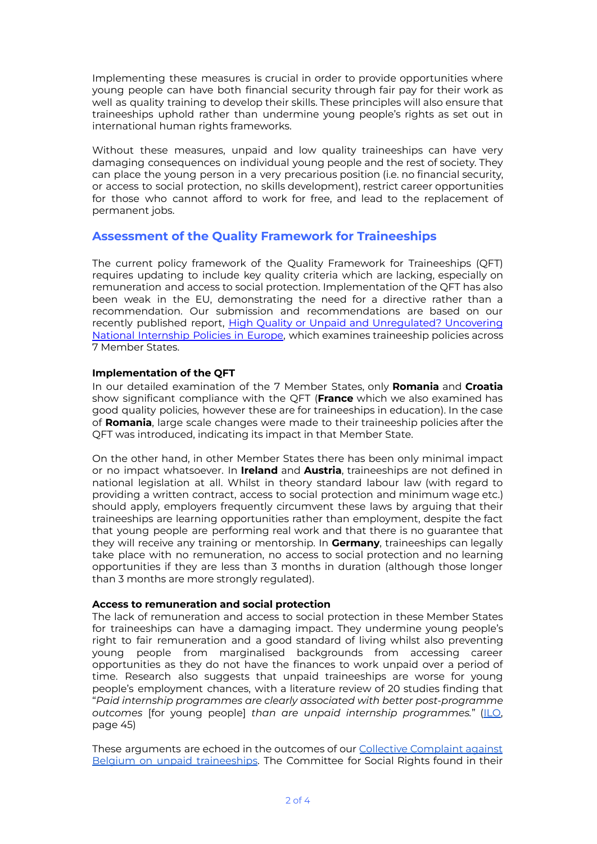Implementing these measures is crucial in order to provide opportunities where young people can have both financial security through fair pay for their work as well as quality training to develop their skills. These principles will also ensure that traineeships uphold rather than undermine young people's rights as set out in international human rights frameworks.

Without these measures, unpaid and low quality traineeships can have very damaging consequences on individual young people and the rest of society. They can place the young person in a very precarious position (i.e. no financial security, or access to social protection, no skills development), restrict career opportunities for those who cannot afford to work for free, and lead to the replacement of permanent jobs.

## **Assessment of the Quality Framework for Traineeships**

The current policy framework of the Quality Framework for Traineeships (QFT) requires updating to include key quality criteria which are lacking, especially on remuneration and access to social protection. Implementation of the QFT has also been weak in the EU, demonstrating the need for a directive rather than a recommendation. Our submission and recommendations are based on our recently published report, High Quality or Unpaid and Unregulated? Uncovering National Internship Policies in Europe, which examines traineeship policies across 7 Member States.

#### **Implementation of the QFT**

In our detailed examination of the 7 Member States, only **Romania** and **Croatia** show significant compliance with the QFT (**France** which we also examined has good quality policies, however these are for traineeships in education). In the case of **Romania**, large scale changes were made to their traineeship policies after the QFT was introduced, indicating its impact in that Member State.

On the other hand, in other Member States there has been only minimal impact or no impact whatsoever. In **Ireland** and **Austria**, traineeships are not defined in national legislation at all. Whilst in theory standard labour law (with regard to providing a written contract, access to social protection and minimum wage etc.) should apply, employers frequently circumvent these laws by arguing that their traineeships are learning opportunities rather than employment, despite the fact that young people are performing real work and that there is no guarantee that they will receive any training or mentorship. In **Germany**, traineeships can legally take place with no remuneration, no access to social protection and no learning opportunities if they are less than 3 months in duration (although those longer than 3 months are more strongly regulated).

#### **Access to remuneration and social protection**

The lack of remuneration and access to social protection in these Member States for traineeships can have a damaging impact. They undermine young people's right to fair remuneration and a good standard of living whilst also preventing young people from marginalised backgrounds from accessing career opportunities as they do not have the finances to work unpaid over a period of time. Research also suggests that unpaid traineeships are worse for young people's employment chances, with a literature review of 20 studies finding that "*Paid internship programmes are clearly associated with better post-programme outcomes* [for young people] *than are unpaid internship programmes.*" ([ILO](https://www.ilo.org/global/publications/books/WCMS_799773/lang--en/index.htm), page 45)

These arguments are echoed in the outcomes of our Collective [Complaint](https://www.youthforum.org/news/belgium-must-do-more-to-stop-unpaid-internships-rules-international-human-rights-body) against Belgium on unpaid [traineeships](https://www.youthforum.org/news/belgium-must-do-more-to-stop-unpaid-internships-rules-international-human-rights-body). The Committee for Social Rights found in their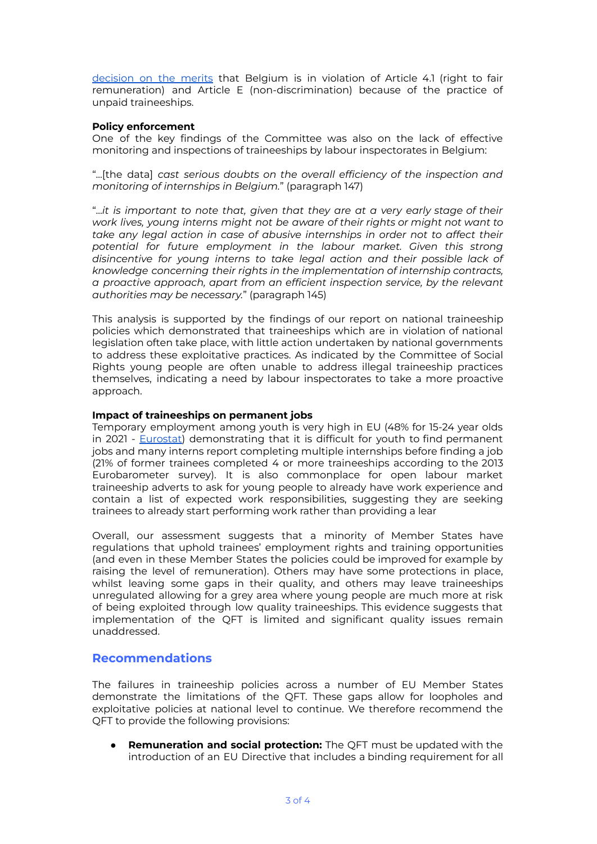[decision](https://hudoc.esc.coe.int/fre/#%7B%22sort%22:[%22ESCPublicationDate%20Descending%22],%22ESCDcIdentifier%22:[%22cc-150-2017-dmerits-en%22]%7D) on the merits that Belgium is in violation of Article 4.1 (right to fair remuneration) and Article E (non-discrimination) because of the practice of unpaid traineeships.

#### **Policy enforcement**

One of the key findings of the Committee was also on the lack of effective monitoring and inspections of traineeships by labour inspectorates in Belgium:

"...[the data] *cast serious doubts on the overall efficiency of the inspection and monitoring of internships in Belgium.*" (paragraph 147)

"...*it is important to note that, given that they are at a very early stage of their work lives, young interns might not be aware of their rights or might not want to take any legal action in case of abusive internships in order not to affect their potential for future employment in the labour market. Given this strong disincentive for young interns to take legal action and their possible lack of knowledge concerning their rights in the implementation of internship contracts, a proactive approach, apart from an efficient inspection service, by the relevant authorities may be necessary.*" (paragraph 145)

This analysis is supported by the findings of our report on national traineeship policies which demonstrated that traineeships which are in violation of national legislation often take place, with little action undertaken by national governments to address these exploitative practices. As indicated by the Committee of Social Rights young people are often unable to address illegal traineeship practices themselves, indicating a need by labour inspectorates to take a more proactive approach.

#### **Impact of traineeships on permanent jobs**

Temporary employment among youth is very high in EU (48% for 15-24 year olds in 2021 - [Eurostat\)](https://appsso.eurostat.ec.europa.eu/nui/show.do?query=BOOKMARK_DS-160764_QID_E977C8A_UID_-3F171EB0&layout=TIME,C,X,0;GEO,L,Y,0;SEX,L,Z,0;AGE,L,Z,1;C_BIRTH,L,Z,2;UNIT,L,Z,3;INDICATORS,C,Z,4;&zSelection=DS-160764SEX,T;DS-160764INDICATORS,OBS_FLAG;DS-160764C_BIRTH,EU27_2020_FOR;DS-160764AGE,Y15-24;DS-160764UNIT,PC;&rankName1=C-BIRTH_1_2_-1_2&rankName2=UNIT_1_2_-1_2&rankName3=INDICATORS_1_2_-1_2&rankName4=SEX_1_2_-1_2&rankName5=AGE_1_2_-1_2&rankName6=TIME_1_0_0_0&rankName7=GEO_1_2_0_1&sortC=ASC_-1_FIRST&rStp=&cStp=&rDCh=&cDCh=&rDM=true&cDM=true&footnes=false&empty=false&wai=false&time_mode=NONE&time_most_recent=false&lang=EN&cfo=%23%23%23%2C%23%23%23.%23%23%23) demonstrating that it is difficult for youth to find permanent jobs and many interns report completing multiple internships before finding a job (21% of former trainees completed 4 or more traineeships according to the 2013 Eurobarometer survey). It is also commonplace for open labour market traineeship adverts to ask for young people to already have work experience and contain a list of expected work responsibilities, suggesting they are seeking trainees to already start performing work rather than providing a lear

Overall, our assessment suggests that a minority of Member States have regulations that uphold trainees' employment rights and training opportunities (and even in these Member States the policies could be improved for example by raising the level of remuneration). Others may have some protections in place, whilst leaving some gaps in their quality, and others may leave traineeships unregulated allowing for a grey area where young people are much more at risk of being exploited through low quality traineeships. This evidence suggests that implementation of the QFT is limited and significant quality issues remain unaddressed.

### **Recommendations**

The failures in traineeship policies across a number of EU Member States demonstrate the limitations of the QFT. These gaps allow for loopholes and exploitative policies at national level to continue. We therefore recommend the QFT to provide the following provisions:

● **Remuneration and social protection:** The QFT must be updated with the introduction of an EU Directive that includes a binding requirement for all